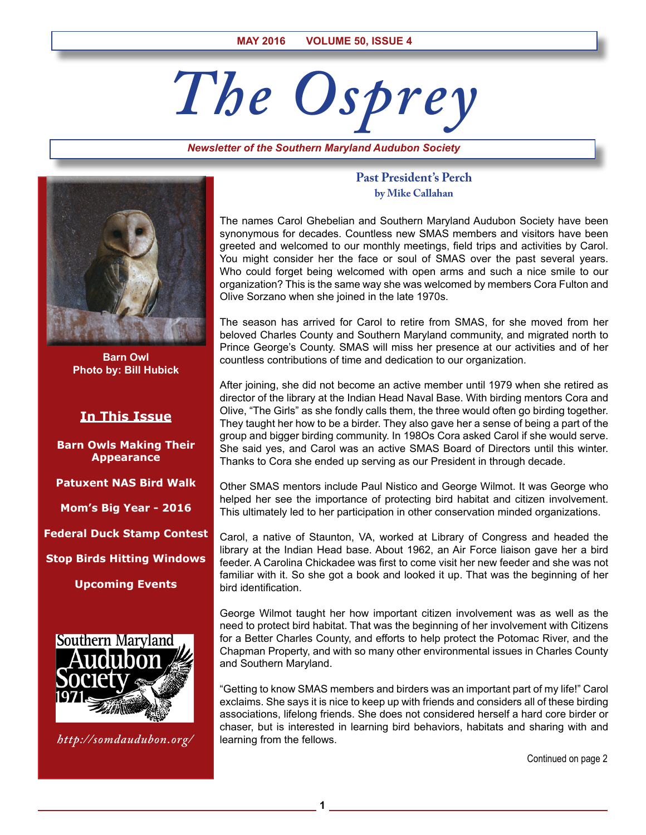# *The Osprey*

*Newsletter of the Southern Maryland Audubon Society*



**Barn Owl Photo by: Bill Hubick** 

# **In This Issue**

**Barn Owls Making Their Appearance**

**Patuxent NAS Bird Walk**

**Mom's Big Year - 2016**

**Federal Duck Stamp Contest**

**Stop Birds Hitting Windows**

**Upcoming Events**



*http://somdaudubon.org/*

## **Past President's Perch by Mike Callahan**

The names Carol Ghebelian and Southern Maryland Audubon Society have been synonymous for decades. Countless new SMAS members and visitors have been greeted and welcomed to our monthly meetings, field trips and activities by Carol. You might consider her the face or soul of SMAS over the past several years. Who could forget being welcomed with open arms and such a nice smile to our organization? This is the same way she was welcomed by members Cora Fulton and Olive Sorzano when she joined in the late 1970s.

The season has arrived for Carol to retire from SMAS, for she moved from her beloved Charles County and Southern Maryland community, and migrated north to Prince George's County. SMAS will miss her presence at our activities and of her countless contributions of time and dedication to our organization.

After joining, she did not become an active member until 1979 when she retired as director of the library at the Indian Head Naval Base. With birding mentors Cora and Olive, "The Girls" as she fondly calls them, the three would often go birding together. They taught her how to be a birder. They also gave her a sense of being a part of the group and bigger birding community. In 198Os Cora asked Carol if she would serve. She said yes, and Carol was an active SMAS Board of Directors until this winter. Thanks to Cora she ended up serving as our President in through decade.

Other SMAS mentors include Paul Nistico and George Wilmot. It was George who helped her see the importance of protecting bird habitat and citizen involvement. This ultimately led to her participation in other conservation minded organizations.

Carol, a native of Staunton, VA, worked at Library of Congress and headed the library at the Indian Head base. About 1962, an Air Force liaison gave her a bird feeder. A Carolina Chickadee was first to come visit her new feeder and she was not familiar with it. So she got a book and looked it up. That was the beginning of her bird identification.

George Wilmot taught her how important citizen involvement was as well as the need to protect bird habitat. That was the beginning of her involvement with Citizens for a Better Charles County, and efforts to help protect the Potomac River, and the Chapman Property, and with so many other environmental issues in Charles County and Southern Maryland.

"Getting to know SMAS members and birders was an important part of my life!" Carol exclaims. She says it is nice to keep up with friends and considers all of these birding associations, lifelong friends. She does not considered herself a hard core birder or chaser, but is interested in learning bird behaviors, habitats and sharing with and learning from the fellows.

**1**

Continued on page 2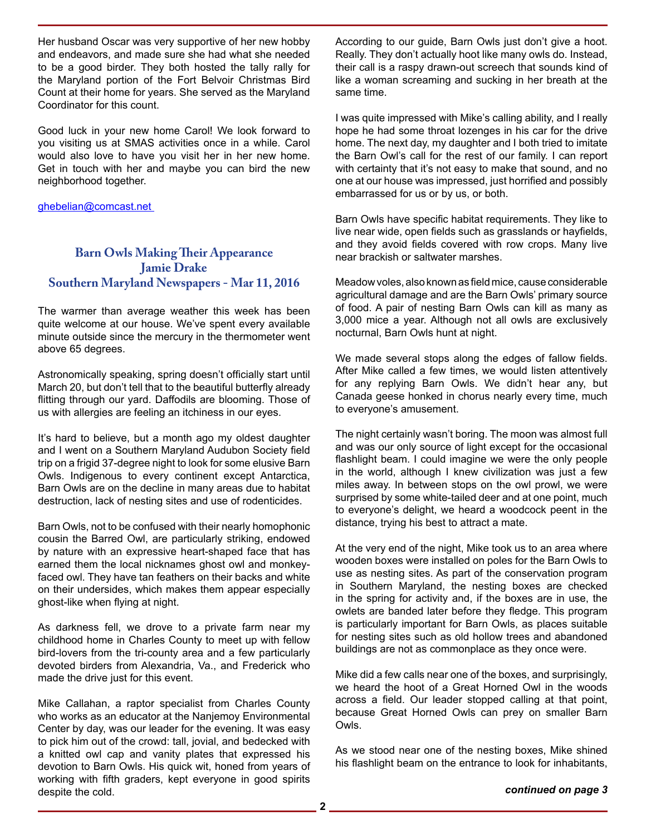Her husband Oscar was very supportive of her new hobby and endeavors, and made sure she had what she needed to be a good birder. They both hosted the tally rally for the Maryland portion of the Fort Belvoir Christmas Bird Count at their home for years. She served as the Maryland Coordinator for this count.

Good luck in your new home Carol! We look forward to you visiting us at SMAS activities once in a while. Carol would also love to have you visit her in her new home. Get in touch with her and maybe you can bird the new neighborhood together.

ghebelian@comcast.net

# **Barn Owls Making Their Appearance Jamie Drake Southern Maryland Newspapers - Mar 11, 2016**

The warmer than average weather this week has been quite welcome at our house. We've spent every available minute outside since the mercury in the thermometer went above 65 degrees.

Astronomically speaking, spring doesn't officially start until March 20, but don't tell that to the beautiful butterfly already flitting through our yard. Daffodils are blooming. Those of us with allergies are feeling an itchiness in our eyes.

It's hard to believe, but a month ago my oldest daughter and I went on a Southern Maryland Audubon Society field trip on a frigid 37-degree night to look for some elusive Barn Owls. Indigenous to every continent except Antarctica, Barn Owls are on the decline in many areas due to habitat destruction, lack of nesting sites and use of rodenticides.

Barn Owls, not to be confused with their nearly homophonic cousin the Barred Owl, are particularly striking, endowed by nature with an expressive heart-shaped face that has earned them the local nicknames ghost owl and monkeyfaced owl. They have tan feathers on their backs and white on their undersides, which makes them appear especially ghost-like when flying at night.

As darkness fell, we drove to a private farm near my childhood home in Charles County to meet up with fellow bird-lovers from the tri-county area and a few particularly devoted birders from Alexandria, Va., and Frederick who made the drive just for this event.

Mike Callahan, a raptor specialist from Charles County who works as an educator at the Nanjemoy Environmental Center by day, was our leader for the evening. It was easy to pick him out of the crowd: tall, jovial, and bedecked with a knitted owl cap and vanity plates that expressed his devotion to Barn Owls. His quick wit, honed from years of working with fifth graders, kept everyone in good spirits despite the cold.

According to our guide, Barn Owls just don't give a hoot. Really. They don't actually hoot like many owls do. Instead, their call is a raspy drawn-out screech that sounds kind of like a woman screaming and sucking in her breath at the same time.

I was quite impressed with Mike's calling ability, and I really hope he had some throat lozenges in his car for the drive home. The next day, my daughter and I both tried to imitate the Barn Owl's call for the rest of our family. I can report with certainty that it's not easy to make that sound, and no one at our house was impressed, just horrified and possibly embarrassed for us or by us, or both.

Barn Owls have specific habitat requirements. They like to live near wide, open fields such as grasslands or hayfields, and they avoid fields covered with row crops. Many live near brackish or saltwater marshes.

Meadow voles, also known as field mice, cause considerable agricultural damage and are the Barn Owls' primary source of food. A pair of nesting Barn Owls can kill as many as 3,000 mice a year. Although not all owls are exclusively nocturnal, Barn Owls hunt at night.

We made several stops along the edges of fallow fields. After Mike called a few times, we would listen attentively for any replying Barn Owls. We didn't hear any, but Canada geese honked in chorus nearly every time, much to everyone's amusement.

The night certainly wasn't boring. The moon was almost full and was our only source of light except for the occasional flashlight beam. I could imagine we were the only people in the world, although I knew civilization was just a few miles away. In between stops on the owl prowl, we were surprised by some white-tailed deer and at one point, much to everyone's delight, we heard a woodcock peent in the distance, trying his best to attract a mate.

At the very end of the night, Mike took us to an area where wooden boxes were installed on poles for the Barn Owls to use as nesting sites. As part of the conservation program in Southern Maryland, the nesting boxes are checked in the spring for activity and, if the boxes are in use, the owlets are banded later before they fledge. This program is particularly important for Barn Owls, as places suitable for nesting sites such as old hollow trees and abandoned buildings are not as commonplace as they once were.

Mike did a few calls near one of the boxes, and surprisingly, we heard the hoot of a Great Horned Owl in the woods across a field. Our leader stopped calling at that point, because Great Horned Owls can prey on smaller Barn Owls.

As we stood near one of the nesting boxes, Mike shined his flashlight beam on the entrance to look for inhabitants,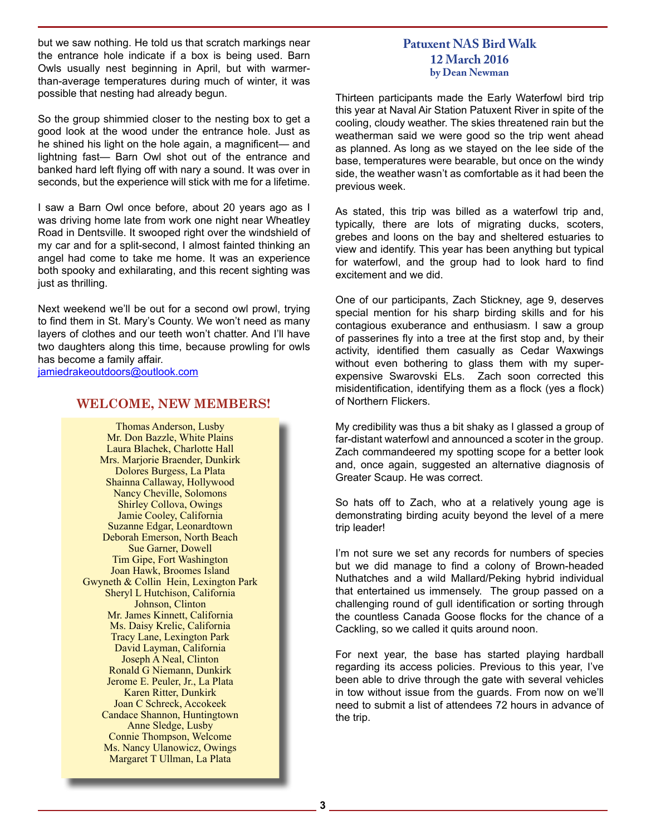but we saw nothing. He told us that scratch markings near the entrance hole indicate if a box is being used. Barn Owls usually nest beginning in April, but with warmerthan-average temperatures during much of winter, it was possible that nesting had already begun.

So the group shimmied closer to the nesting box to get a good look at the wood under the entrance hole. Just as he shined his light on the hole again, a magnificent— and lightning fast— Barn Owl shot out of the entrance and banked hard left flying off with nary a sound. It was over in seconds, but the experience will stick with me for a lifetime.

I saw a Barn Owl once before, about 20 years ago as I was driving home late from work one night near Wheatley Road in Dentsville. It swooped right over the windshield of my car and for a split-second, I almost fainted thinking an angel had come to take me home. It was an experience both spooky and exhilarating, and this recent sighting was just as thrilling.

Next weekend we'll be out for a second owl prowl, trying to find them in St. Mary's County. We won't need as many layers of clothes and our teeth won't chatter. And I'll have two daughters along this time, because prowling for owls has become a family affair.

jamiedrakeoutdoors@outlook.com

## **WELCOME, NEW MEMBERS!**

Thomas Anderson, Lusby Mr. Don Bazzle, White Plains Laura Blachek, Charlotte Hall Mrs. Marjorie Braender, Dunkirk Dolores Burgess, La Plata Shainna Callaway, Hollywood Nancy Cheville, Solomons Shirley Collova, Owings Jamie Cooley, California Suzanne Edgar, Leonardtown Deborah Emerson, North Beach Sue Garner, Dowell Tim Gipe, Fort Washington Joan Hawk, Broomes Island Gwyneth & Collin Hein, Lexington Park Sheryl L Hutchison, California Johnson, Clinton Mr. James Kinnett, California Ms. Daisy Krelic, California Tracy Lane, Lexington Park David Layman, California Joseph A Neal, Clinton Ronald G Niemann, Dunkirk Jerome E. Peuler, Jr., La Plata Karen Ritter, Dunkirk Joan C Schreck, Accokeek Candace Shannon, Huntingtown Anne Sledge, Lusby Connie Thompson, Welcome Ms. Nancy Ulanowicz, Owings Margaret T Ullman, La Plata

## **Patuxent NAS Bird Walk 12 March 2016 by Dean Newman**

Thirteen participants made the Early Waterfowl bird trip this year at Naval Air Station Patuxent River in spite of the cooling, cloudy weather. The skies threatened rain but the weatherman said we were good so the trip went ahead as planned. As long as we stayed on the lee side of the base, temperatures were bearable, but once on the windy side, the weather wasn't as comfortable as it had been the previous week.

As stated, this trip was billed as a waterfowl trip and, typically, there are lots of migrating ducks, scoters, grebes and loons on the bay and sheltered estuaries to view and identify. This year has been anything but typical for waterfowl, and the group had to look hard to find excitement and we did.

One of our participants, Zach Stickney, age 9, deserves special mention for his sharp birding skills and for his contagious exuberance and enthusiasm. I saw a group of passerines fly into a tree at the first stop and, by their activity, identified them casually as Cedar Waxwings without even bothering to glass them with my superexpensive Swarovski ELs. Zach soon corrected this misidentification, identifying them as a flock (yes a flock) of Northern Flickers.

My credibility was thus a bit shaky as I glassed a group of far-distant waterfowl and announced a scoter in the group. Zach commandeered my spotting scope for a better look and, once again, suggested an alternative diagnosis of Greater Scaup. He was correct.

So hats off to Zach, who at a relatively young age is demonstrating birding acuity beyond the level of a mere trip leader!

I'm not sure we set any records for numbers of species but we did manage to find a colony of Brown-headed Nuthatches and a wild Mallard/Peking hybrid individual that entertained us immensely. The group passed on a challenging round of gull identification or sorting through the countless Canada Goose flocks for the chance of a Cackling, so we called it quits around noon.

For next year, the base has started playing hardball regarding its access policies. Previous to this year, I've been able to drive through the gate with several vehicles in tow without issue from the guards. From now on we'll need to submit a list of attendees 72 hours in advance of the trip.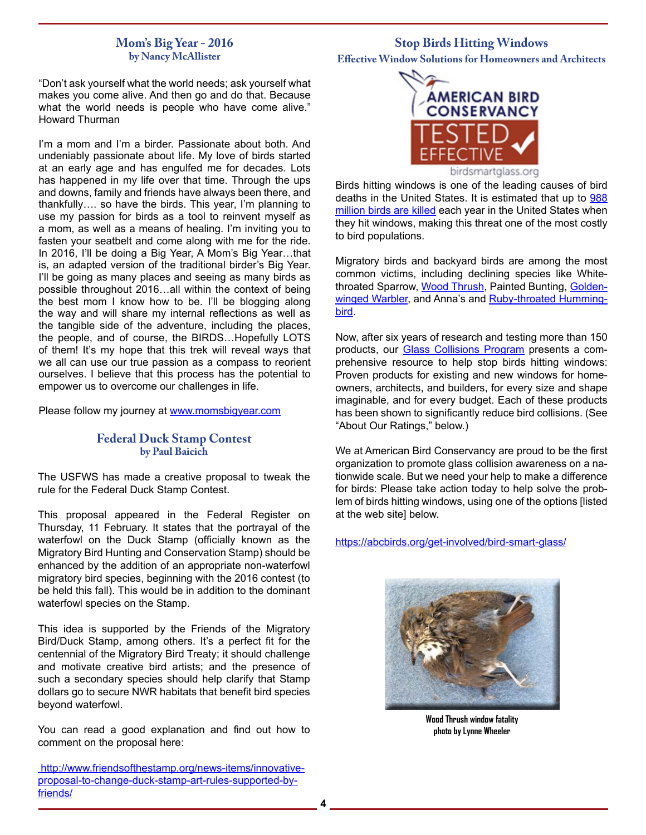## **Mom's Big Year - 2016 by Nancy McAllister**

**Stop Birds Hitting Windows Effective Window Solutions for Homeowners and Architects**

"Don't ask yourself what the world needs; ask yourself what makes you come alive. And then go and do that. Because what the world needs is people who have come alive." Howard Thurman

I'm a mom and I'm a birder. Passionate about both. And undeniably passionate about life. My love of birds started at an early age and has engulfed me for decades. Lots has happened in my life over that time. Through the ups and downs, family and friends have always been there, and thankfully…. so have the birds. This year, I'm planning to use my passion for birds as a tool to reinvent myself as a mom, as well as a means of healing. I'm inviting you to fasten your seatbelt and come along with me for the ride. In 2016, I'll be doing a Big Year, A Mom's Big Year…that is, an adapted version of the traditional birder's Big Year. I'll be going as many places and seeing as many birds as possible throughout 2016…all within the context of being the best mom I know how to be. I'll be blogging along the way and will share my internal reflections as well as the tangible side of the adventure, including the places, the people, and of course, the BIRDS…Hopefully LOTS of them! It's my hope that this trek will reveal ways that we all can use our true passion as a compass to reorient ourselves. I believe that this process has the potential to empower us to overcome our challenges in life.

Please follow my journey at www.momsbigyear.com

## **Federal Duck Stamp Contest by Paul Baicich**

The USFWS has made a creative proposal to tweak the rule for the Federal Duck Stamp Contest.

This proposal appeared in the Federal Register on Thursday, 11 February. It states that the portrayal of the waterfowl on the Duck Stamp (officially known as the Migratory Bird Hunting and Conservation Stamp) should be enhanced by the addition of an appropriate non-waterfowl migratory bird species, beginning with the 2016 contest (to be held this fall). This would be in addition to the dominant waterfowl species on the Stamp.

This idea is supported by the Friends of the Migratory Bird/Duck Stamp, among others. It's a perfect fit for the centennial of the Migratory Bird Treaty; it should challenge and motivate creative bird artists; and the presence of such a secondary species should help clarify that Stamp dollars go to secure NWR habitats that benefit bird species beyond waterfowl.

You can read a good explanation and find out how to comment on the proposal here:

 http://www.friendsofthestamp.org/news-items/innovativeproposal-to-change-duck-stamp-art-rules-supported-byfriends/



Birds hitting windows is one of the leading causes of bird deaths in the United States. It is estimated that up to 988 million birds are killed each year in the United States when they hit windows, making this threat one of the most costly to bird populations.

Migratory birds and backyard birds are among the most common victims, including declining species like Whitethroated Sparrow, Wood Thrush, Painted Bunting, Goldenwinged Warbler, and Anna's and Ruby-throated Hummingbird.

Now, after six years of research and testing more than 150 products, our Glass Collisions Program presents a comprehensive resource to help stop birds hitting windows: Proven products for existing and new windows for homeowners, architects, and builders, for every size and shape imaginable, and for every budget. Each of these products has been shown to significantly reduce bird collisions. (See "About Our Ratings," below.)

We at American Bird Conservancy are proud to be the first organization to promote glass collision awareness on a nationwide scale. But we need your help to make a difference for birds: Please take action today to help solve the problem of birds hitting windows, using one of the options [listed at the web site] below.

https://abcbirds.org/get-involved/bird-smart-glass/



**Wood Thrush window fatality photo by Lynne Wheeler**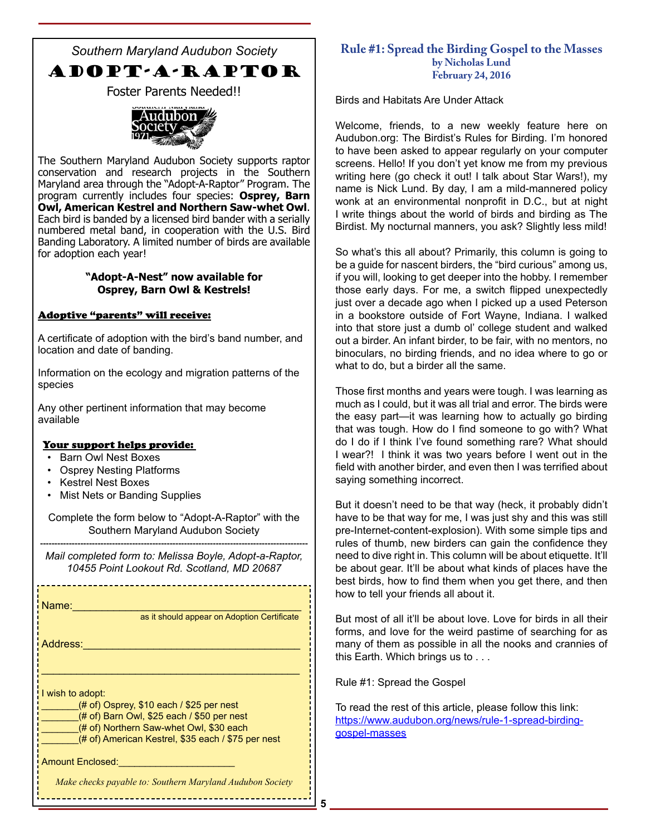*Southern Maryland Audubon Society* ADOPT-A-RAPTOR Foster Parents Needed!!



The Southern Maryland Audubon Society supports raptor conservation and research projects in the Southern Maryland area through the "Adopt-A-Raptor" Program. The program currently includes four species: **Osprey, Barn Owl, American Kestrel and Northern Saw-whet Owl**. Each bird is banded by a licensed bird bander with a serially numbered metal band, in cooperation with the U.S. Bird Banding Laboratory. A limited number of birds are available for adoption each year!

## **"Adopt-A-Nest" now available for Osprey, Barn Owl & Kestrels!**

## Adoptive "parents" will receive:

A certificate of adoption with the bird's band number, and location and date of banding.

Information on the ecology and migration patterns of the species

Any other pertinent information that may become available

#### Your support helps provide:

- Barn Owl Nest Boxes
- Osprey Nesting Platforms
- Kestrel Nest Boxes
- Mist Nets or Banding Supplies

Complete the form below to "Adopt-A-Raptor" with the Southern Maryland Audubon Society

--------------------------------------------------------------------------------------------- *Mail completed form to: Melissa Boyle, Adopt-a-Raptor, 10455 Point Lookout Rd. Scotland, MD 20687*

\_\_\_\_\_\_\_\_\_\_\_\_\_\_\_\_\_\_\_\_\_\_

Name:\_\_\_\_\_\_\_\_\_\_\_\_\_\_\_\_\_\_\_\_\_\_\_\_\_\_\_\_\_\_\_\_\_\_\_\_\_\_\_ Address:\_\_\_\_\_\_\_\_\_\_\_\_\_\_\_\_\_\_\_\_\_\_\_\_\_\_\_\_\_\_\_\_\_\_\_\_\_ \_\_\_\_\_\_\_\_\_\_\_\_\_\_\_\_\_\_\_\_\_\_\_\_\_\_\_\_\_\_\_\_\_\_\_\_\_\_\_\_\_\_\_\_ I wish to adopt:  $($ # of) Osprey, \$10 each / \$25 per nest  $(# of)$  Barn Owl, \$25 each / \$50 per nest (# of) Northern Saw-whet Owl, \$30 each (# of) American Kestrel, \$35 each / \$75 per nest Amount Enclosed: as it should appear on Adoption Certificate **Rule #1: Spread the Birding Gospel to the Masses by Nicholas Lund February 24, 2016**

Birds and Habitats Are Under Attack

Welcome, friends, to a new weekly feature here on Audubon.org: The Birdist's Rules for Birding. I'm honored to have been asked to appear regularly on your computer screens. Hello! If you don't yet know me from my previous writing here (go check it out! I talk about Star Wars!), my name is Nick Lund. By day, I am a mild-mannered policy wonk at an environmental nonprofit in D.C., but at night I write things about the world of birds and birding as The Birdist. My nocturnal manners, you ask? Slightly less mild!

So what's this all about? Primarily, this column is going to be a guide for nascent birders, the "bird curious" among us, if you will, looking to get deeper into the hobby. I remember those early days. For me, a switch flipped unexpectedly just over a decade ago when I picked up a used Peterson in a bookstore outside of Fort Wayne, Indiana. I walked into that store just a dumb ol' college student and walked out a birder. An infant birder, to be fair, with no mentors, no binoculars, no birding friends, and no idea where to go or what to do, but a birder all the same.

Those first months and years were tough. I was learning as much as I could, but it was all trial and error. The birds were the easy part—it was learning how to actually go birding that was tough. How do I find someone to go with? What do I do if I think I've found something rare? What should I wear?! I think it was two years before I went out in the field with another birder, and even then I was terrified about saying something incorrect.

But it doesn't need to be that way (heck, it probably didn't have to be that way for me, I was just shy and this was still pre-Internet-content-explosion). With some simple tips and rules of thumb, new birders can gain the confidence they need to dive right in. This column will be about etiquette. It'll be about gear. It'll be about what kinds of places have the best birds, how to find them when you get there, and then how to tell your friends all about it.

But most of all it'll be about love. Love for birds in all their forms, and love for the weird pastime of searching for as many of them as possible in all the nooks and crannies of this Earth. Which brings us to . . .

Rule #1: Spread the Gospel

To read the rest of this article, please follow this link: https://www.audubon.org/news/rule-1-spread-birdinggospel-masses

*Make checks payable to: Southern Maryland Audubon Society*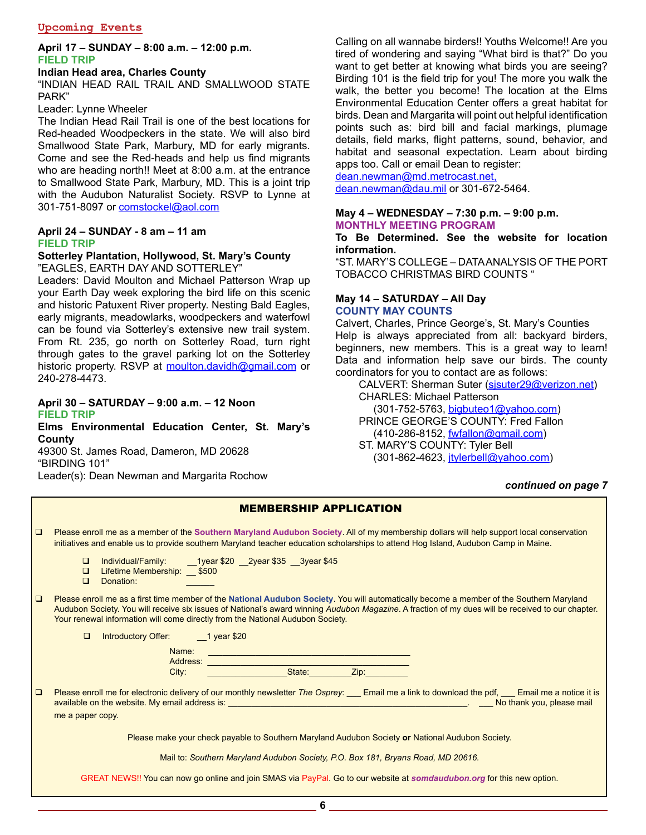#### **April 17 – SUNDAY – 8:00 a.m. – 12:00 p.m. FIELD TRIP**

#### **Indian Head area, Charles County**

"INDIAN HEAD RAIL TRAIL AND SMALLWOOD STATE PARK"

Leader: Lynne Wheeler

The Indian Head Rail Trail is one of the best locations for Red-headed Woodpeckers in the state. We will also bird Smallwood State Park, Marbury, MD for early migrants. Come and see the Red-heads and help us find migrants who are heading north!! Meet at 8:00 a.m. at the entrance to Smallwood State Park, Marbury, MD. This is a joint trip with the Audubon Naturalist Society. RSVP to Lynne at 301-751-8097 or comstockel@aol.com

## **April 24 – SUNDAY - 8 am – 11 am FIELD TRIP**

#### **Sotterley Plantation, Hollywood, St. Mary's County**  "EAGLES, EARTH DAY AND SOTTERLEY"

Leaders: David Moulton and Michael Patterson Wrap up your Earth Day week exploring the bird life on this scenic and historic Patuxent River property. Nesting Bald Eagles, early migrants, meadowlarks, woodpeckers and waterfowl can be found via Sotterley's extensive new trail system. From Rt. 235, go north on Sotterley Road, turn right through gates to the gravel parking lot on the Sotterley historic property. RSVP at moulton.davidh@gmail.com or 240-278-4473.

#### **April 30 – SATURDAY – 9:00 a.m. – 12 Noon FIELD TRIP**

**Elms Environmental Education Center, St. Mary's County** 

49300 St. James Road, Dameron, MD 20628 "BIRDING 101"

Leader(s): Dean Newman and Margarita Rochow

Calling on all wannabe birders!! Youths Welcome!! Are you tired of wondering and saying "What bird is that?" Do you want to get better at knowing what birds you are seeing? Birding 101 is the field trip for you! The more you walk the walk, the better you become! The location at the Elms Environmental Education Center offers a great habitat for birds. Dean and Margarita will point out helpful identification points such as: bird bill and facial markings, plumage details, field marks, flight patterns, sound, behavior, and habitat and seasonal expectation. Learn about birding apps too. Call or email Dean to register:

dean.newman@md.metrocast.net, dean.newman@dau.mil or 301-672-5464.

#### **May 4 – WEDNESDAY – 7:30 p.m. – 9:00 p.m. MONTHLY MEETING PROGRAM**

## **To Be Determined. See the website for location information.**

"ST. MARY'S COLLEGE – DATA ANALYSIS OF THE PORT TOBACCO CHRISTMAS BIRD COUNTS "

#### **May 14 – SATURDAY – All Day COUNTY MAY COUNTS**

Calvert, Charles, Prince George's, St. Mary's Counties Help is always appreciated from all: backyard birders, beginners, new members. This is a great way to learn! Data and information help save our birds. The county coordinators for you to contact are as follows:

 CALVERT: Sherman Suter (sjsuter29@verizon.net) CHARLES: Michael Patterson

 (301-752-5763, bigbuteo1@yahoo.com) PRINCE GEORGE'S COUNTY: Fred Fallon (410-286-8152, fwfallon@gmail.com)

 ST. MARY'S COUNTY: Tyler Bell (301-862-4623, jtylerbell@yahoo.com)

#### *continued on page 7*

| <b>MEMBERSHIP APPLICATION</b>                                                    |                                                                                                                                                                                                                                                                                                                                                                                       |  |  |
|----------------------------------------------------------------------------------|---------------------------------------------------------------------------------------------------------------------------------------------------------------------------------------------------------------------------------------------------------------------------------------------------------------------------------------------------------------------------------------|--|--|
| $\Box$                                                                           | Please enroll me as a member of the Southern Maryland Audubon Society. All of my membership dollars will help support local conservation<br>initiatives and enable us to provide southern Maryland teacher education scholarships to attend Hog Island, Audubon Camp in Maine.                                                                                                        |  |  |
|                                                                                  | Individual/Family: 1year \$20 2year \$35 3year \$45<br>$\Box$<br>Lifetime Membership: \$500<br>$\Box$<br>$\Box$<br>Donation:                                                                                                                                                                                                                                                          |  |  |
| $\Box$                                                                           | Please enroll me as a first time member of the National Audubon Society. You will automatically become a member of the Southern Maryland<br>Audubon Society. You will receive six issues of National's award winning Audubon Magazine. A fraction of my dues will be received to our chapter.<br>Your renewal information will come directly from the National Audubon Society.       |  |  |
|                                                                                  | Introductory Offer: 1 year \$20<br>$\Box$                                                                                                                                                                                                                                                                                                                                             |  |  |
|                                                                                  | Name:<br>and the control of the control of the control of the control of the control of the control of                                                                                                                                                                                                                                                                                |  |  |
|                                                                                  | State:<br>Zip: The Contract of the Contract of the Contract of the Contract of the Contract of the Contract of the Contract of the Contract of the Contract of the Contract of the Contract of the Contract of the Contract of the Contr<br>City:                                                                                                                                     |  |  |
|                                                                                  |                                                                                                                                                                                                                                                                                                                                                                                       |  |  |
| $\Box$                                                                           | Please enroll me for electronic delivery of our monthly newsletter The Osprey: ___ Email me a link to download the pdf, ___ Email me a notice it is<br>available on the website. My email address is: example and the second second second second second second second second second second second second second second second second second second second second second second secon |  |  |
|                                                                                  | me a paper copy.                                                                                                                                                                                                                                                                                                                                                                      |  |  |
|                                                                                  | Please make your check payable to Southern Maryland Audubon Society or National Audubon Society.                                                                                                                                                                                                                                                                                      |  |  |
| Mail to: Southern Maryland Audubon Society, P.O. Box 181, Bryans Road, MD 20616. |                                                                                                                                                                                                                                                                                                                                                                                       |  |  |
|                                                                                  | GREAT NEWS!! You can now go online and join SMAS via PayPal. Go to our website at somdaudubon.org for this new option.                                                                                                                                                                                                                                                                |  |  |

**6**